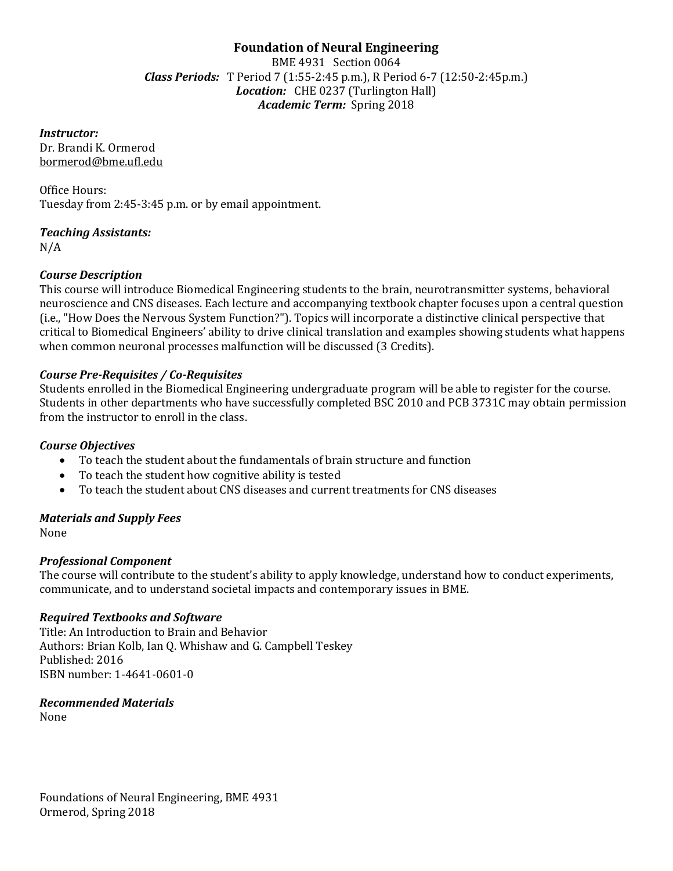# **Foundation of Neural Engineering**

BME 4931 Section 0064 *Class Periods:* T Period 7 (1:55-2:45 p.m.), R Period 6-7 (12:50-2:45p.m.) *Location:* CHE 0237 (Turlington Hall) *Academic Term:* Spring 2018

*Instructor:*

Dr. Brandi K. Ormerod bormerod@bme.ufl.edu

Office Hours: Tuesday from 2:45-3:45 p.m. or by email appointment.

*Teaching Assistants:* N/A

# *Course Description*

This course will introduce Biomedical Engineering students to the brain, neurotransmitter systems, behavioral neuroscience and CNS diseases. Each lecture and accompanying textbook chapter focuses upon a central question (i.e., "How Does the Nervous System Function?"). Topics will incorporate a distinctive clinical perspective that critical to Biomedical Engineers' ability to drive clinical translation and examples showing students what happens when common neuronal processes malfunction will be discussed (3 Credits).

# *Course Pre-Requisites / Co-Requisites*

Students enrolled in the Biomedical Engineering undergraduate program will be able to register for the course. Students in other departments who have successfully completed BSC 2010 and PCB 3731C may obtain permission from the instructor to enroll in the class.

### *Course Objectives*

- To teach the student about the fundamentals of brain structure and function
- To teach the student how cognitive ability is tested
- To teach the student about CNS diseases and current treatments for CNS diseases

# *Materials and Supply Fees*

None

### *Professional Component*

The course will contribute to the student's ability to apply knowledge, understand how to conduct experiments, communicate, and to understand societal impacts and contemporary issues in BME.

### *Required Textbooks and Software*

Title: An Introduction to Brain and Behavior Authors: Brian Kolb, Ian Q. Whishaw and G. Campbell Teskey Published: 2016 ISBN number: 1-4641-0601-0

### *Recommended Materials*

None

Foundations of Neural Engineering, BME 4931 Ormerod, Spring 2018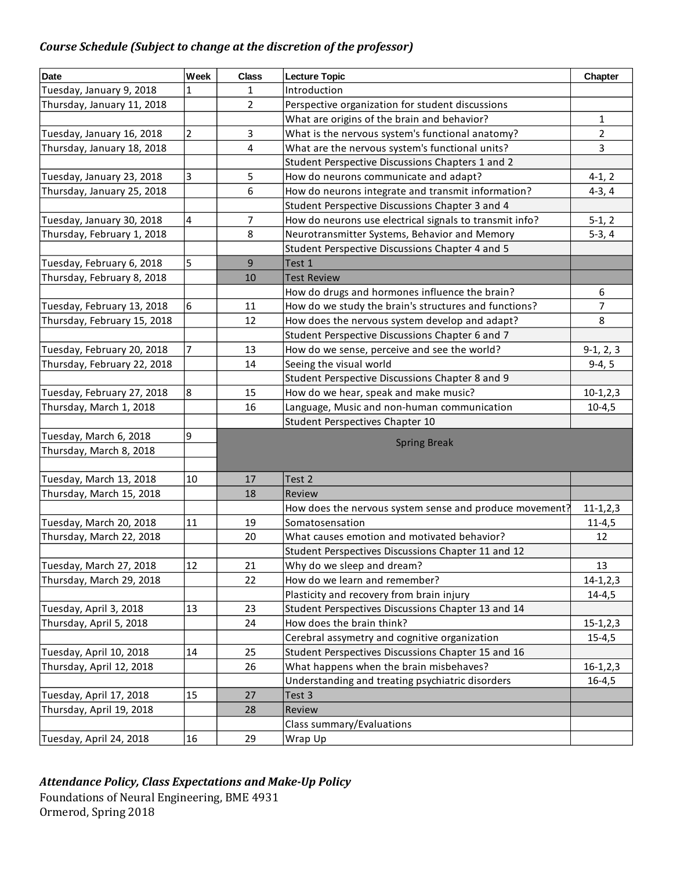# *Course Schedule (Subject to change at the discretion of the professor)*

| <b>Date</b>                 | Week                    | <b>Class</b>   | <b>Lecture Topic</b>                                                  | Chapter        |
|-----------------------------|-------------------------|----------------|-----------------------------------------------------------------------|----------------|
| Tuesday, January 9, 2018    | 1                       | 1              | Introduction                                                          |                |
| Thursday, January 11, 2018  |                         | $\overline{2}$ | Perspective organization for student discussions                      |                |
|                             |                         |                | What are origins of the brain and behavior?                           | $\mathbf{1}$   |
| Tuesday, January 16, 2018   | $\overline{2}$          | 3              | What is the nervous system's functional anatomy?                      | $\overline{2}$ |
| Thursday, January 18, 2018  |                         | 4              | What are the nervous system's functional units?                       | $\mathbf{3}$   |
|                             |                         |                | Student Perspective Discussions Chapters 1 and 2                      |                |
| Tuesday, January 23, 2018   | 3                       | 5              | How do neurons communicate and adapt?                                 | $4-1, 2$       |
| Thursday, January 25, 2018  |                         | 6              | How do neurons integrate and transmit information?                    | $4-3, 4$       |
|                             |                         |                | Student Perspective Discussions Chapter 3 and 4                       |                |
| Tuesday, January 30, 2018   | $\overline{\mathbf{4}}$ | 7              | How do neurons use electrical signals to transmit info?               |                |
| Thursday, February 1, 2018  |                         | 8              | $5-1, 2$<br>Neurotransmitter Systems, Behavior and Memory<br>$5-3, 4$ |                |
|                             |                         |                | Student Perspective Discussions Chapter 4 and 5                       |                |
| Tuesday, February 6, 2018   | 5                       | 9              | Test 1                                                                |                |
| Thursday, February 8, 2018  |                         | 10             | <b>Test Review</b>                                                    |                |
|                             |                         |                | How do drugs and hormones influence the brain?                        | 6              |
| Tuesday, February 13, 2018  | 6                       | 11             | How do we study the brain's structures and functions?                 | $\overline{7}$ |
| Thursday, February 15, 2018 |                         | 12             | How does the nervous system develop and adapt?                        | 8              |
|                             |                         |                | Student Perspective Discussions Chapter 6 and 7                       |                |
| Tuesday, February 20, 2018  | $\overline{7}$          | 13             | How do we sense, perceive and see the world?                          | $9-1, 2, 3$    |
| Thursday, February 22, 2018 |                         | 14             | Seeing the visual world                                               | $9-4, 5$       |
|                             |                         |                | Student Perspective Discussions Chapter 8 and 9                       |                |
| Tuesday, February 27, 2018  | 8                       | 15             | How do we hear, speak and make music?                                 | $10-1, 2, 3$   |
| Thursday, March 1, 2018     |                         | 16             | Language, Music and non-human communication                           | $10-4,5$       |
|                             |                         |                | Student Perspectives Chapter 10                                       |                |
| Tuesday, March 6, 2018      | 9                       |                |                                                                       |                |
| Thursday, March 8, 2018     |                         |                | <b>Spring Break</b>                                                   |                |
|                             |                         |                |                                                                       |                |
| Tuesday, March 13, 2018     | 10                      | 17             | Test 2                                                                |                |
| Thursday, March 15, 2018    |                         | 18             | Review                                                                |                |
|                             |                         |                | How does the nervous system sense and produce movement?               | $11-1, 2, 3$   |
| Tuesday, March 20, 2018     | 11                      | 19             | Somatosensation                                                       | $11 - 4,5$     |
| Thursday, March 22, 2018    |                         | 20             | What causes emotion and motivated behavior?                           | 12             |
|                             |                         |                | Student Perspectives Discussions Chapter 11 and 12                    |                |
| Tuesday, March 27, 2018     | 12                      | 21             | Why do we sleep and dream?                                            | 13             |
| Thursday, March 29, 2018    |                         | 22             | How do we learn and remember?                                         | $14 - 1, 2, 3$ |
|                             |                         |                | Plasticity and recovery from brain injury                             | $14 - 4,5$     |
| Tuesday, April 3, 2018      | 13                      | 23             | Student Perspectives Discussions Chapter 13 and 14                    |                |
| Thursday, April 5, 2018     |                         | 24             | How does the brain think?                                             | $15 - 1, 2, 3$ |
|                             |                         |                | Cerebral assymetry and cognitive organization                         | $15 - 4,5$     |
| Tuesday, April 10, 2018     | 14                      | 25             | Student Perspectives Discussions Chapter 15 and 16                    |                |
| Thursday, April 12, 2018    |                         | 26             | What happens when the brain misbehaves?                               | $16-1, 2, 3$   |
|                             |                         |                | Understanding and treating psychiatric disorders                      | $16 - 4,5$     |
| Tuesday, April 17, 2018     | 15                      | 27             | Test 3                                                                |                |
| Thursday, April 19, 2018    |                         | 28             | Review                                                                |                |
|                             |                         |                | Class summary/Evaluations                                             |                |
| Tuesday, April 24, 2018     | 16                      | 29             | Wrap Up                                                               |                |

# *Attendance Policy, Class Expectations and Make-Up Policy*

Foundations of Neural Engineering, BME 4931 Ormerod, Spring 2018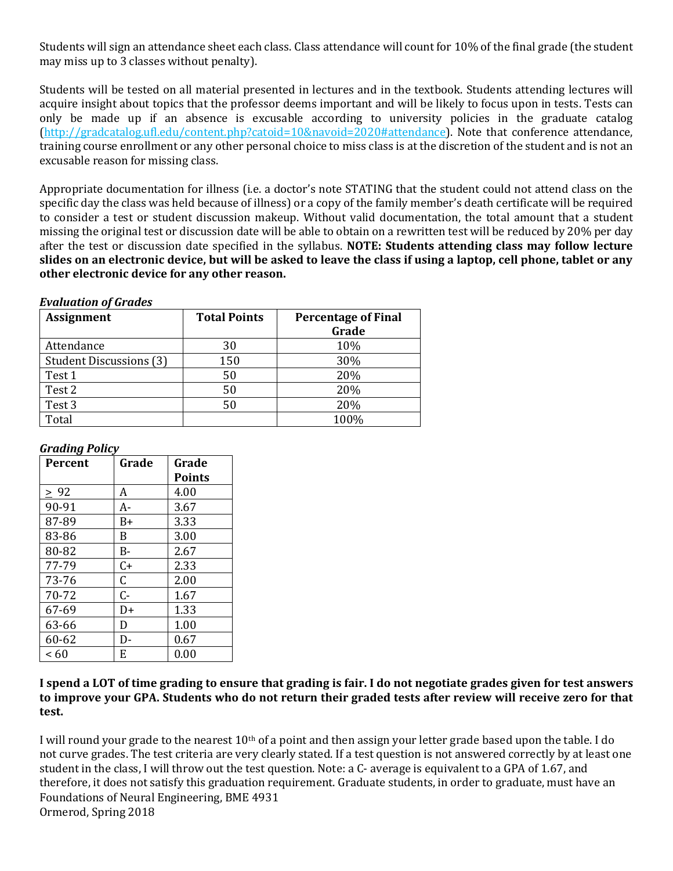Students will sign an attendance sheet each class. Class attendance will count for 10% of the final grade (the student may miss up to 3 classes without penalty).

Students will be tested on all material presented in lectures and in the textbook. Students attending lectures will acquire insight about topics that the professor deems important and will be likely to focus upon in tests. Tests can only be made up if an absence is excusable according to university policies in the graduate catalog [\(http://gradcatalog.ufl.edu/content.php?catoid=10&navoid=2020#attendance\)](http://gradcatalog.ufl.edu/content.php?catoid=10&navoid=2020#attendance). Note that conference attendance, training course enrollment or any other personal choice to miss class is at the discretion of the student and is not an excusable reason for missing class.

Appropriate documentation for illness (i.e. a doctor's note STATING that the student could not attend class on the specific day the class was held because of illness) or a copy of the family member's death certificate will be required to consider a test or student discussion makeup. Without valid documentation, the total amount that a student missing the original test or discussion date will be able to obtain on a rewritten test will be reduced by 20% per day after the test or discussion date specified in the syllabus. **NOTE: Students attending class may follow lecture slides on an electronic device, but will be asked to leave the class if using a laptop, cell phone, tablet or any other electronic device for any other reason.** 

#### *Evaluation of Grades*

| <b>Assignment</b>              | <b>Total Points</b> | <b>Percentage of Final</b> |
|--------------------------------|---------------------|----------------------------|
|                                |                     | Grade                      |
| Attendance                     | 30                  | 10%                        |
| <b>Student Discussions (3)</b> | 150                 | 30%                        |
| Test 1                         | 50                  | 20%                        |
| Test 2                         | 50                  | 20%                        |
| Test 3                         | 50                  | 20%                        |
| Total                          |                     | 100%                       |

### *Grading Policy*

| <b>Percent</b> | Grade | Grade         |
|----------------|-------|---------------|
|                |       | <b>Points</b> |
| $\geq 92$      | A     | 4.00          |
| 90-91          | $A-$  | 3.67          |
| 87-89          | B+    | 3.33          |
| 83-86          | B     | 3.00          |
| 80-82          | B-    | 2.67          |
| 77-79          | $C+$  | 2.33          |
| 73-76          | C     | 2.00          |
| 70-72          | $C -$ | 1.67          |
| 67-69          | D+    | 1.33          |
| 63-66          | D     | 1.00          |
| 60-62          | D-    | 0.67          |
| < 60           | E     | 0.00          |

#### **I spend a LOT of time grading to ensure that grading is fair. I do not negotiate grades given for test answers to improve your GPA. Students who do not return their graded tests after review will receive zero for that test.**

Foundations of Neural Engineering, BME 4931 Ormerod, Spring 2018 I will round your grade to the nearest  $10<sup>th</sup>$  of a point and then assign your letter grade based upon the table. I do not curve grades. The test criteria are very clearly stated. If a test question is not answered correctly by at least one student in the class, I will throw out the test question. Note: a C- average is equivalent to a GPA of 1.67, and therefore, it does not satisfy this graduation requirement. Graduate students, in order to graduate, must have an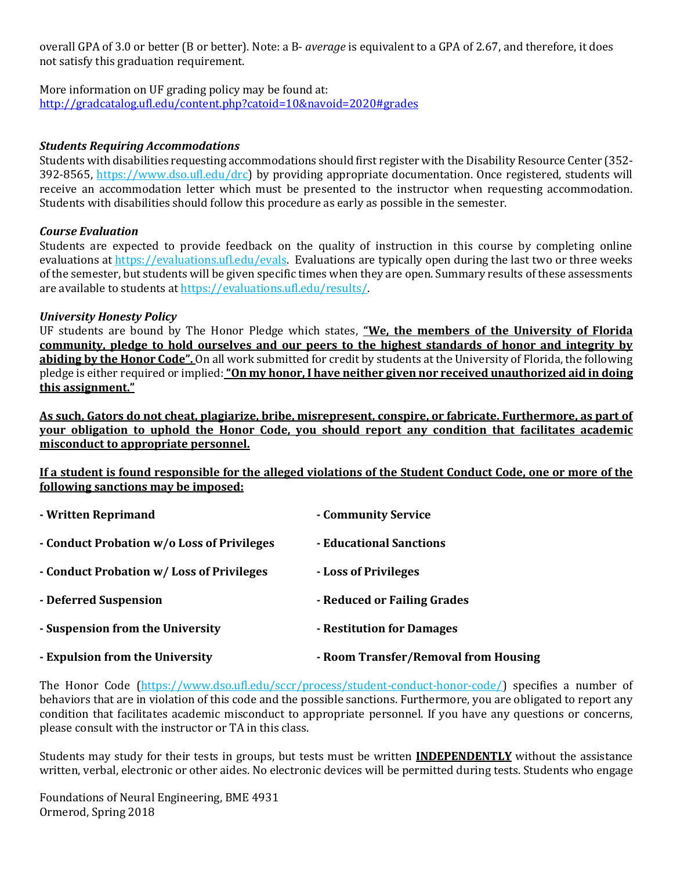overall GPA of 3.0 or better (B or better). Note: a B- *average* is equivalent to a GPA of 2.67, and therefore, it does not satisfy this graduation requirement.

More information on UF grading policy may be found at: <http://gradcatalog.ufl.edu/content.php?catoid=10&navoid=2020#grades>

#### *Students Requiring Accommodations*

Students with disabilities requesting accommodations should first register with the Disability Resource Center (352- 392-8565, https://www.dso.ufl.edu/drc) by providing appropriate documentation. Once registered, students will receive an accommodation letter which must be presented to the instructor when requesting accommodation. Students with disabilities should follow this procedure as early as possible in the semester.

#### *Course Evaluation*

Students are expected to provide feedback on the quality of instruction in this course by completing online evaluations at [https://evaluations.ufl.edu/evals.](https://evaluations.ufl.edu/evals) Evaluations are typically open during the last two or three weeks of the semester, but students will be given specific times when they are open. Summary results of these assessments are available to students at [https://evaluations.ufl.edu/results/.](https://evaluations.ufl.edu/results/)

#### *University Honesty Policy*

UF students are bound by The Honor Pledge which states, **"We, the members of the University of Florida community, pledge to hold ourselves and our peers to the highest standards of honor and integrity by abiding by the Honor Code".** On all work submitted for credit by students at the University of Florida, the following pledge is either required or implied:**"On my honor, I have neither given nor received unauthorized aid in doing this assignment."**

**As such, Gators do not cheat, plagiarize, bribe, misrepresent, conspire, or fabricate. Furthermore, as part of your obligation to uphold the Honor Code, you should report any condition that facilitates academic misconduct to appropriate personnel.**

**If a student is found responsible for the alleged violations of the Student Conduct Code, one or more of the following sanctions may be imposed:**

| - Written Reprimand                        | - Community Service                  |
|--------------------------------------------|--------------------------------------|
| - Conduct Probation w/o Loss of Privileges | - Educational Sanctions              |
| - Conduct Probation w/Loss of Privileges   | - Loss of Privileges                 |
| - Deferred Suspension                      | - Reduced or Failing Grades          |
| - Suspension from the University           | - Restitution for Damages            |
| - Expulsion from the University            | - Room Transfer/Removal from Housing |

The Honor Code (https://www.dso.ufl.edu/sccr/process/student-conduct-honor-code/) specifies a number of behaviors that are in violation of this code and the possible sanctions. Furthermore, you are obligated to report any condition that facilitates academic misconduct to appropriate personnel. If you have any questions or concerns, please consult with the instructor or TA in this class.

Students may study for their tests in groups, but tests must be written **INDEPENDENTLY** without the assistance written, verbal, electronic or other aides. No electronic devices will be permitted during tests. Students who engage

Foundations of Neural Engineering, BME 4931 Ormerod, Spring 2018